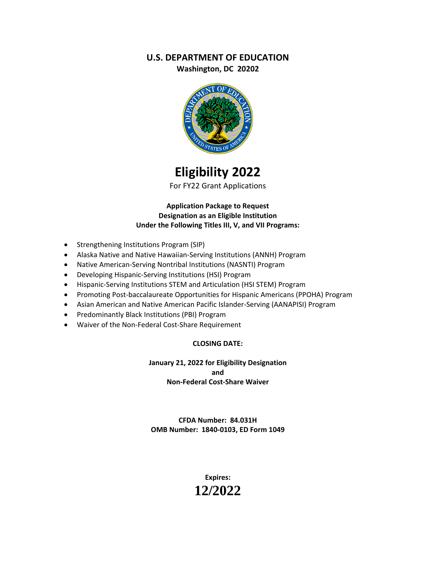# **U.S. DEPARTMENT OF EDUCATION**

**Washington, DC 20202**



# **Eligibility 2022**

For FY22 Grant Applications

**Application Package to Request Designation as an Eligible Institution Under the Following Titles III, V, and VII Programs:**

- Strengthening Institutions Program (SIP)
- Alaska Native and Native Hawaiian-Serving Institutions (ANNH) Program
- Native American-Serving Nontribal Institutions (NASNTI) Program
- Developing Hispanic-Serving Institutions (HSI) Program
- Hispanic-Serving Institutions STEM and Articulation (HSI STEM) Program
- Promoting Post-baccalaureate Opportunities for Hispanic Americans (PPOHA) Program
- Asian American and Native American Pacific Islander-Serving (AANAPISI) Program
- Predominantly Black Institutions (PBI) Program
- Waiver of the Non-Federal Cost-Share Requirement

#### **CLOSING DATE:**

**January 21, 2022 for Eligibility Designation and Non-Federal Cost-Share Waiver**

**CFDA Number: 84.031H OMB Number: 1840-0103, ED Form 1049**

> **Expires: 12/2022**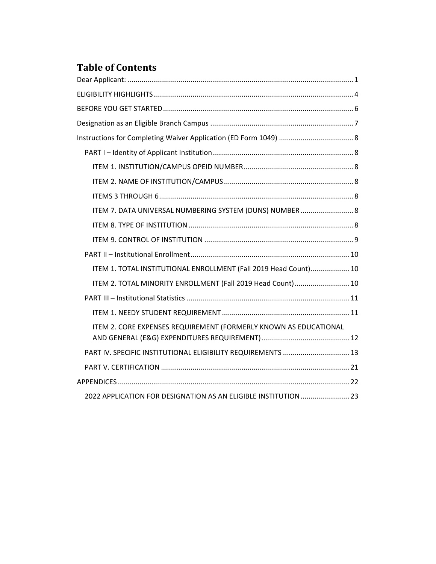# **Table of Contents**

| ITEM 7. DATA UNIVERSAL NUMBERING SYSTEM (DUNS) NUMBER  8         |  |
|------------------------------------------------------------------|--|
|                                                                  |  |
|                                                                  |  |
|                                                                  |  |
| ITEM 1. TOTAL INSTITUTIONAL ENROLLMENT (Fall 2019 Head Count) 10 |  |
| ITEM 2. TOTAL MINORITY ENROLLMENT (Fall 2019 Head Count)  10     |  |
|                                                                  |  |
|                                                                  |  |
| ITEM 2. CORE EXPENSES REQUIREMENT (FORMERLY KNOWN AS EDUCATIONAL |  |
| PART IV. SPECIFIC INSTITUTIONAL ELIGIBILITY REQUIREMENTS  13     |  |
|                                                                  |  |
|                                                                  |  |
| 2022 APPLICATION FOR DESIGNATION AS AN ELIGIBLE INSTITUTION  23  |  |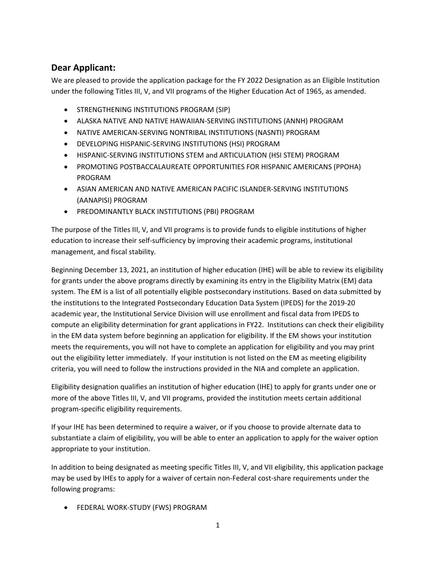# <span id="page-2-0"></span>**Dear Applicant:**

We are pleased to provide the application package for the FY 2022 Designation as an Eligible Institution under the following Titles III, V, and VII programs of the Higher Education Act of 1965, as amended.

- STRENGTHENING INSTITUTIONS PROGRAM (SIP)
- ALASKA NATIVE AND NATIVE HAWAIIAN-SERVING INSTITUTIONS (ANNH) PROGRAM
- NATIVE AMERICAN-SERVING NONTRIBAL INSTITUTIONS (NASNTI) PROGRAM
- DEVELOPING HISPANIC-SERVING INSTITUTIONS (HSI) PROGRAM
- HISPANIC-SERVING INSTITUTIONS STEM and ARTICULATION (HSI STEM) PROGRAM
- PROMOTING POSTBACCALAUREATE OPPORTUNITIES FOR HISPANIC AMERICANS (PPOHA) PROGRAM
- ASIAN AMERICAN AND NATIVE AMERICAN PACIFIC ISLANDER-SERVING INSTITUTIONS (AANAPISI) PROGRAM
- PREDOMINANTLY BLACK INSTITUTIONS (PBI) PROGRAM

The purpose of the Titles III, V, and VII programs is to provide funds to eligible institutions of higher education to increase their self-sufficiency by improving their academic programs, institutional management, and fiscal stability.

Beginning December 13, 2021, an institution of higher education (IHE) will be able to review its eligibility for grants under the above programs directly by examining its entry in the Eligibility Matrix (EM) data system. The EM is a list of all potentially eligible postsecondary institutions. Based on data submitted by the institutions to the Integrated Postsecondary Education Data System (IPEDS) for the 2019-20 academic year, the Institutional Service Division will use enrollment and fiscal data from IPEDS to compute an eligibility determination for grant applications in FY22. Institutions can check their eligibility in the EM data system before beginning an application for eligibility. If the EM shows your institution meets the requirements, you will not have to complete an application for eligibility and you may print out the eligibility letter immediately. If your institution is not listed on the EM as meeting eligibility criteria, you will need to follow the instructions provided in the NIA and complete an application.

Eligibility designation qualifies an institution of higher education (IHE) to apply for grants under one or more of the above Titles III, V, and VII programs, provided the institution meets certain additional program-specific eligibility requirements.

If your IHE has been determined to require a waiver, or if you choose to provide alternate data to substantiate a claim of eligibility, you will be able to enter an application to apply for the waiver option appropriate to your institution.

In addition to being designated as meeting specific Titles III, V, and VII eligibility, this application package may be used by IHEs to apply for a waiver of certain non-Federal cost-share requirements under the following programs:

• FEDERAL WORK-STUDY (FWS) PROGRAM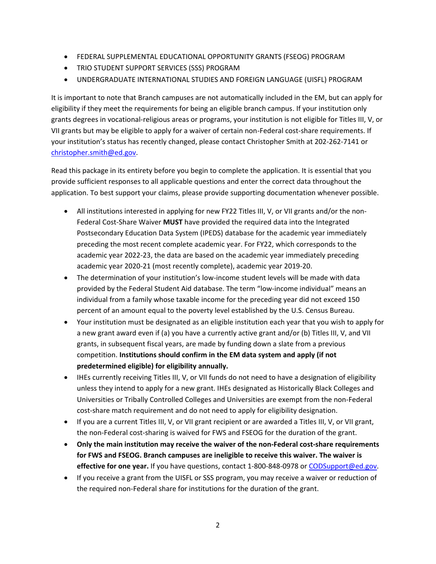- FEDERAL SUPPLEMENTAL EDUCATIONAL OPPORTUNITY GRANTS (FSEOG) PROGRAM
- TRIO STUDENT SUPPORT SERVICES (SSS) PROGRAM
- UNDERGRADUATE INTERNATIONAL STUDIES AND FOREIGN LANGUAGE (UISFL) PROGRAM

It is important to note that Branch campuses are not automatically included in the EM, but can apply for eligibility if they meet the requirements for being an eligible branch campus. If your institution only grants degrees in vocational-religious areas or programs, your institution is not eligible for Titles III, V, or VII grants but may be eligible to apply for a waiver of certain non-Federal cost-share requirements. If your institution's status has recently changed, please contact Christopher Smith at 202-262-7141 or [christopher.smith@ed.gov.](mailto:christopher.smith@ed.gov)

Read this package in its entirety before you begin to complete the application. It is essential that you provide sufficient responses to all applicable questions and enter the correct data throughout the application. To best support your claims, please provide supporting documentation whenever possible.

- All institutions interested in applying for new FY22 Titles III, V, or VII grants and/or the non-Federal Cost-Share Waiver **MUST** have provided the required data into the Integrated Postsecondary Education Data System (IPEDS) database for the academic year immediately preceding the most recent complete academic year. For FY22, which corresponds to the academic year 2022-23, the data are based on the academic year immediately preceding academic year 2020-21 (most recently complete), academic year 2019-20.
- The determination of your institution's low-income student levels will be made with data provided by the Federal Student Aid database. The term "low-income individual" means an individual from a family whose taxable income for the preceding year did not exceed 150 percent of an amount equal to the poverty level established by the U.S. Census Bureau.
- Your institution must be designated as an eligible institution each year that you wish to apply for a new grant award even if (a) you have a currently active grant and/or (b) Titles III, V, and VII grants, in subsequent fiscal years, are made by funding down a slate from a previous competition. **Institutions should confirm in the EM data system and apply (if not predetermined eligible) for eligibility annually.**
- IHEs currently receiving Titles III, V, or VII funds do not need to have a designation of eligibility unless they intend to apply for a new grant. IHEs designated as Historically Black Colleges and Universities or Tribally Controlled Colleges and Universities are exempt from the non-Federal cost-share match requirement and do not need to apply for eligibility designation.
- If you are a current Titles III, V, or VII grant recipient or are awarded a Titles III, V, or VII grant, the non-Federal cost-sharing is waived for FWS and FSEOG for the duration of the grant.
- **Only the main institution may receive the waiver of the non-Federal cost-share requirements for FWS and FSEOG. Branch campuses are ineligible to receive this waiver. The waiver is effective for one year.** If you have questions, contact 1-800-848-0978 or [CODSupport@ed.gov.](mailto:CODSupport@ed.gov)
- If you receive a grant from the UISFL or SSS program, you may receive a waiver or reduction of the required non-Federal share for institutions for the duration of the grant.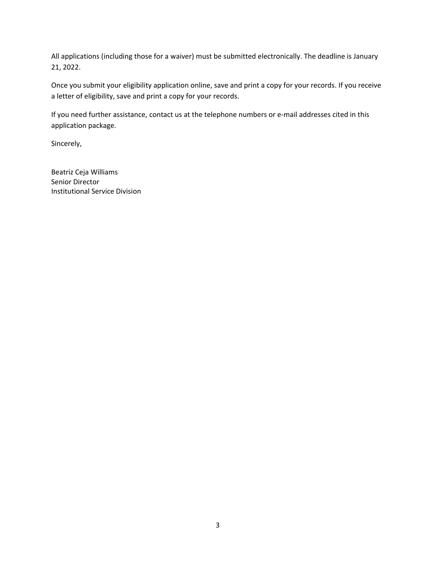All applications (including those for a waiver) must be submitted electronically. The deadline is January 21, 2022.

Once you submit your eligibility application online, save and print a copy for your records. If you receive a letter of eligibility, save and print a copy for your records.

If you need further assistance, contact us at the telephone numbers or e-mail addresses cited in this application package.

Sincerely,

Beatriz Ceja Williams Senior Director Institutional Service Division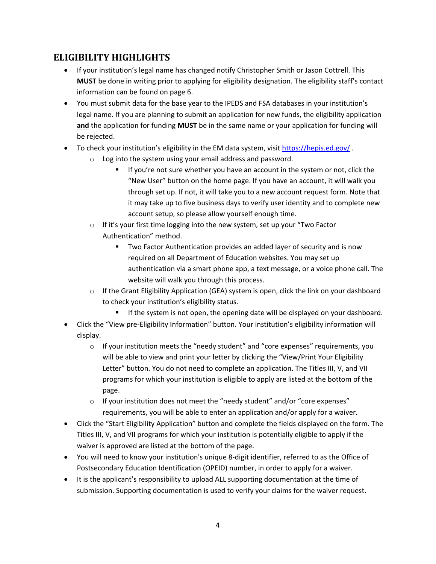# <span id="page-5-0"></span>**ELIGIBILITY HIGHLIGHTS**

- If your institution's legal name has changed notify Christopher Smith or Jason Cottrell. This **MUST** be done in writing prior to applying for eligibility designation. The eligibility staff's contact information can be found on page 6.
- You must submit data for the base year to the IPEDS and FSA databases in your institution's legal name. If you are planning to submit an application for new funds, the eligibility application **and** the application for funding **MUST** be in the same name or your application for funding will be rejected.
- To check your institution's eligibility in the EM data system, visit <https://hepis.ed.gov/> .
	- o Log into the system using your email address and password.
		- If you're not sure whether you have an account in the system or not, click the "New User" button on the home page. If you have an account, it will walk you through set up. If not, it will take you to a new account request form. Note that it may take up to five business days to verify user identity and to complete new account setup, so please allow yourself enough time.
	- o If it's your first time logging into the new system, set up your "Two Factor Authentication" method.
		- Two Factor Authentication provides an added layer of security and is now required on all Department of Education websites. You may set up authentication via a smart phone app, a text message, or a voice phone call. The website will walk you through this process.
	- $\circ$  If the Grant Eligibility Application (GEA) system is open, click the link on your dashboard to check your institution's eligibility status.
		- **■** If the system is not open, the opening date will be displayed on your dashboard.
- Click the "View pre-Eligibility Information" button. Your institution's eligibility information will display.
	- $\circ$  If your institution meets the "needy student" and "core expenses" requirements, you will be able to view and print your letter by clicking the "View/Print Your Eligibility Letter" button. You do not need to complete an application. The Titles III, V, and VII programs for which your institution is eligible to apply are listed at the bottom of the page.
	- o If your institution does not meet the "needy student" and/or "core expenses" requirements, you will be able to enter an application and/or apply for a waiver.
- Click the "Start Eligibility Application" button and complete the fields displayed on the form. The Titles III, V, and VII programs for which your institution is potentially eligible to apply if the waiver is approved are listed at the bottom of the page.
- You will need to know your institution's unique 8-digit identifier, referred to as the Office of Postsecondary Education Identification (OPEID) number, in order to apply for a waiver.
- It is the applicant's responsibility to upload ALL supporting documentation at the time of submission. Supporting documentation is used to verify your claims for the waiver request.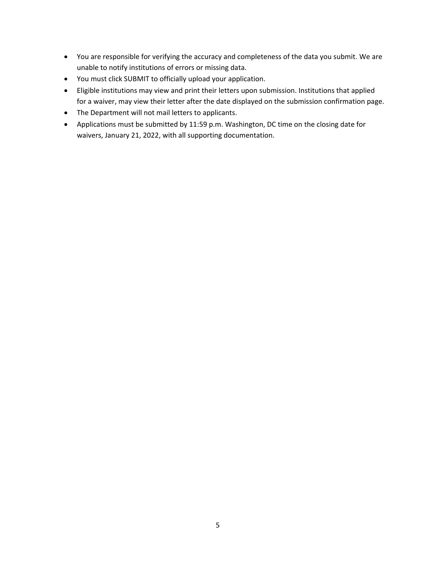- You are responsible for verifying the accuracy and completeness of the data you submit. We are unable to notify institutions of errors or missing data.
- You must click SUBMIT to officially upload your application.
- Eligible institutions may view and print their letters upon submission. Institutions that applied for a waiver, may view their letter after the date displayed on the submission confirmation page.
- The Department will not mail letters to applicants.
- Applications must be submitted by 11:59 p.m. Washington, DC time on the closing date for waivers, January 21, 2022, with all supporting documentation.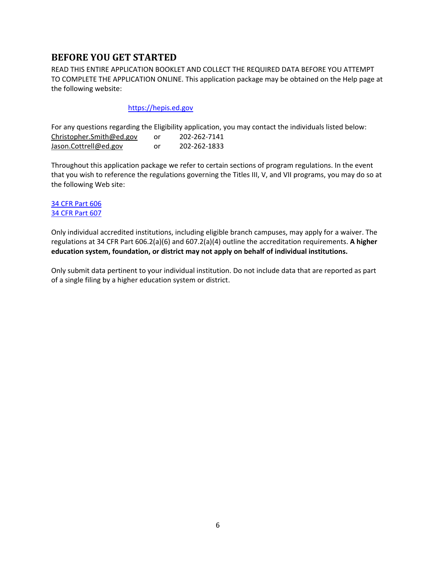# <span id="page-7-0"></span>**BEFORE YOU GET STARTED**

READ THIS ENTIRE APPLICATION BOOKLET AND COLLECT THE REQUIRED DATA BEFORE YOU ATTEMPT TO COMPLETE THE APPLICATION ONLINE. This application package may be obtained on the Help page at the following website:

#### [https://hepis.ed.gov](https://hepis.ed.gov/)

For any questions regarding the Eligibility application, you may contact the individuals listed below: [Christopher.Smith@ed.gov](mailto:Christopher.Smith@ed.gov) or 202-262-7141 [Jason.Cottrell@ed.gov](mailto:Jason.Cottrell@ed.gov) or 202-262-1833

Throughout this application package we refer to certain sections of program regulations. In the event that you wish to reference the regulations governing the Titles III, V, and VII programs, you may do so at the following Web site:

#### [34 CFR Part 606](https://www.ecfr.gov/cgi-bin/text-idx?c=ecfr&SID=88ad286a15d094a6542b62e9a900a301&rgn=div5&view=text&node=34:3.1.3.1.6&idno=34) [34 CFR Part 607](https://www.ecfr.gov/cgi-bin/text-idx?c=ecfr&SID=88ad286a15d094a6542b62e9a900a301&rgn=div5&view=text&node=34:3.1.3.1.7&idno=34)

Only individual accredited institutions, including eligible branch campuses, may apply for a waiver. The regulations at 34 CFR Part 606.2(a)(6) and 607.2(a)(4) outline the accreditation requirements. **A higher education system, foundation, or district may not apply on behalf of individual institutions.**

Only submit data pertinent to your individual institution. Do not include data that are reported as part of a single filing by a higher education system or district.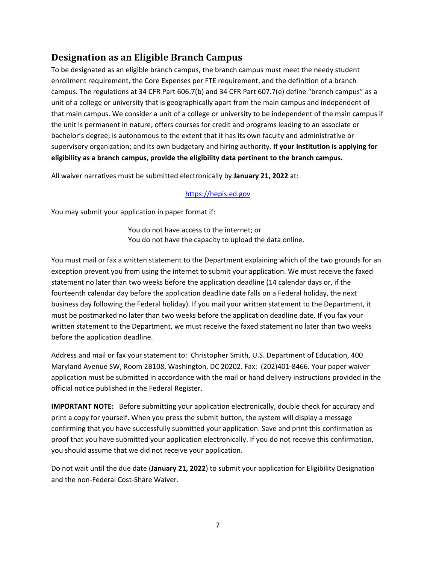# <span id="page-8-0"></span>**Designation as an Eligible Branch Campus**

To be designated as an eligible branch campus, the branch campus must meet the needy student enrollment requirement, the Core Expenses per FTE requirement, and the definition of a branch campus. The regulations at 34 CFR Part 606.7(b) and 34 CFR Part 607.7(e) define "branch campus" as a unit of a college or university that is geographically apart from the main campus and independent of that main campus. We consider a unit of a college or university to be independent of the main campus if the unit is permanent in nature; offers courses for credit and programs leading to an associate or bachelor's degree; is autonomous to the extent that it has its own faculty and administrative or supervisory organization; and its own budgetary and hiring authority. **If your institution is applying for eligibility as a branch campus, provide the eligibility data pertinent to the branch campus.**

All waiver narratives must be submitted electronically by **January 21, 2022** at:

#### [https://hepis.ed.gov](https://hepis.ed.gov/)

You may submit your application in paper format if:

You do not have access to the internet; or You do not have the capacity to upload the data online.

You must mail or fax a written statement to the Department explaining which of the two grounds for an exception prevent you from using the internet to submit your application. We must receive the faxed statement no later than two weeks before the application deadline (14 calendar days or, if the fourteenth calendar day before the application deadline date falls on a Federal holiday, the next business day following the Federal holiday). If you mail your written statement to the Department, it must be postmarked no later than two weeks before the application deadline date. If you fax your written statement to the Department, we must receive the faxed statement no later than two weeks before the application deadline.

Address and mail or fax your statement to: Christopher Smith, U.S. Department of Education, 400 Maryland Avenue SW, Room 2B108, Washington, DC 20202. Fax: (202)401-8466. Your paper waiver application must be submitted in accordance with the mail or hand delivery instructions provided in the official notice published in the Federal Register.

**IMPORTANT NOTE:** Before submitting your application electronically, double check for accuracy and print a copy for yourself. When you press the submit button, the system will display a message confirming that you have successfully submitted your application. Save and print this confirmation as proof that you have submitted your application electronically. If you do not receive this confirmation, you should assume that we did not receive your application.

Do not wait until the due date (**January 21, 2022**) to submit your application for Eligibility Designation and the non-Federal Cost-Share Waiver.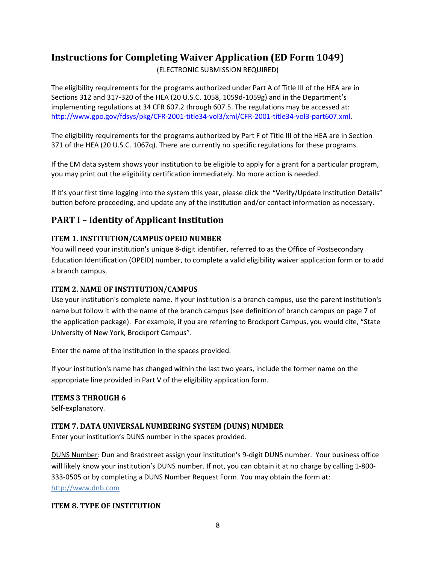# <span id="page-9-0"></span>**Instructions for Completing Waiver Application (ED Form 1049)**

(ELECTRONIC SUBMISSION REQUIRED)

The eligibility requirements for the programs authorized under Part A of Title III of the HEA are in Sections 312 and 317-320 of the HEA (20 U.S.C. 1058, 1059d-1059g) and in the Department's implementing regulations at 34 CFR 607.2 through 607.5. The regulations may be accessed at: [http://www.gpo.gov/fdsys/pkg/CFR-2001-title34-vol3/xml/CFR-2001-title34-vol3-part607.xml.](http://www.gpo.gov/fdsys/pkg/CFR-2001-title34-vol3/xml/CFR-2001-title34-vol3-part607.xml)

The eligibility requirements for the programs authorized by Part F of Title III of the HEA are in Section 371 of the HEA (20 U.S.C. 1067q). There are currently no specific regulations for these programs.

If the EM data system shows your institution to be eligible to apply for a grant for a particular program, you may print out the eligibility certification immediately. No more action is needed.

If it's your first time logging into the system this year, please click the "Verify/Update Institution Details" button before proceeding, and update any of the institution and/or contact information as necessary.

# <span id="page-9-1"></span>**PART I – Identity of Applicant Institution**

### <span id="page-9-2"></span>**ITEM 1. INSTITUTION/CAMPUS OPEID NUMBER**

You will need your institution's unique 8-digit identifier, referred to as the Office of Postsecondary Education Identification (OPEID) number, to complete a valid eligibility waiver application form or to add a branch campus.

### <span id="page-9-3"></span>**ITEM 2. NAME OF INSTITUTION/CAMPUS**

Use your institution's complete name. If your institution is a branch campus, use the parent institution's name but follow it with the name of the branch campus (see definition of branch campus on page 7 of the application package). For example, if you are referring to Brockport Campus, you would cite, "State University of New York, Brockport Campus".

Enter the name of the institution in the spaces provided.

If your institution's name has changed within the last two years, include the former name on the appropriate line provided in Part V of the eligibility application form.

### <span id="page-9-4"></span>**ITEMS 3 THROUGH 6**

Self-explanatory.

### <span id="page-9-5"></span>**ITEM 7. DATA UNIVERSAL NUMBERING SYSTEM (DUNS) NUMBER**

Enter your institution's DUNS number in the spaces provided.

DUNS Number: Dun and Bradstreet assign your institution's 9-digit DUNS number. Your business office will likely know your institution's DUNS number. If not, you can obtain it at no charge by calling 1-800- 333-0505 or by completing a DUNS Number Request Form. You may obtain the form at: [http://www.dnb.com](http://www.dnb.com/)

#### <span id="page-9-6"></span>**ITEM 8. TYPE OF INSTITUTION**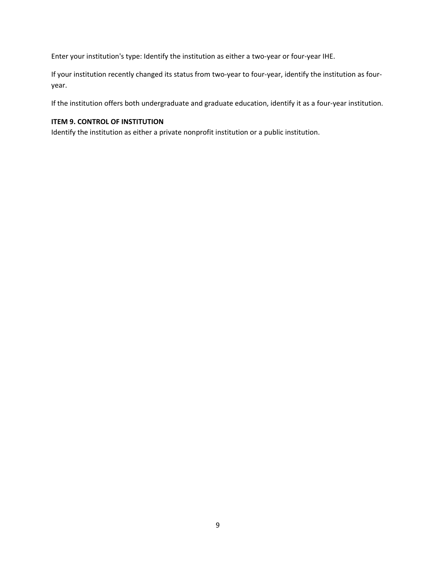Enter your institution's type: Identify the institution as either a two-year or four-year IHE.

If your institution recently changed its status from two-year to four-year, identify the institution as fouryear.

If the institution offers both undergraduate and graduate education, identify it as a four-year institution.

#### <span id="page-10-0"></span>**ITEM 9. CONTROL OF INSTITUTION**

Identify the institution as either a private nonprofit institution or a public institution.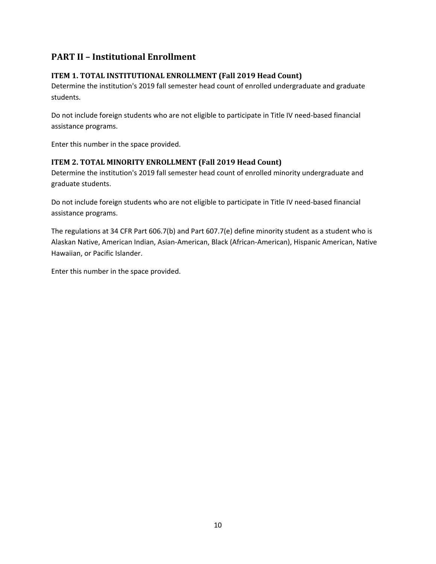# <span id="page-11-0"></span>**PART II – Institutional Enrollment**

### <span id="page-11-1"></span>**ITEM 1. TOTAL INSTITUTIONAL ENROLLMENT (Fall 2019 Head Count)**

Determine the institution's 2019 fall semester head count of enrolled undergraduate and graduate students.

Do not include foreign students who are not eligible to participate in Title IV need-based financial assistance programs.

Enter this number in the space provided.

### <span id="page-11-2"></span>**ITEM 2. TOTAL MINORITY ENROLLMENT (Fall 2019 Head Count)**

Determine the institution's 2019 fall semester head count of enrolled minority undergraduate and graduate students.

Do not include foreign students who are not eligible to participate in Title IV need-based financial assistance programs.

The regulations at 34 CFR Part 606.7(b) and Part 607.7(e) define minority student as a student who is Alaskan Native, American Indian, Asian-American, Black (African-American), Hispanic American, Native Hawaiian, or Pacific Islander.

Enter this number in the space provided.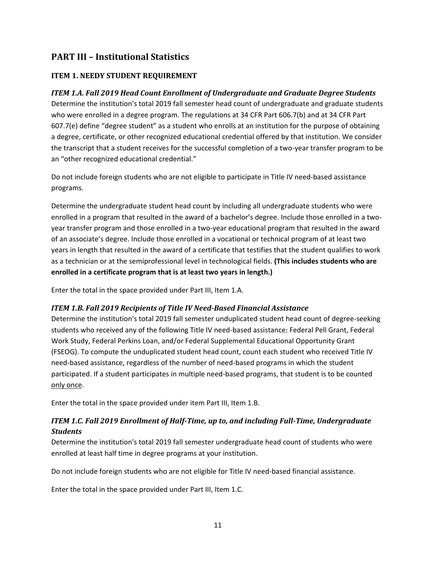# <span id="page-12-0"></span>**PART III – Institutional Statistics**

### <span id="page-12-1"></span>**ITEM 1. NEEDY STUDENT REQUIREMENT**

#### *ITEM 1.A. Fall 2019 Head Count Enrollment of Undergraduate and Graduate Degree Students*

Determine the institution's total 2019 fall semester head count of undergraduate and graduate students who were enrolled in a degree program. The regulations at 34 CFR Part 606.7(b) and at 34 CFR Part 607.7(e) define "degree student" as a student who enrolls at an institution for the purpose of obtaining a degree, certificate, or other recognized educational credential offered by that institution. We consider the transcript that a student receives for the successful completion of a two-year transfer program to be an "other recognized educational credential."

Do not include foreign students who are not eligible to participate in Title IV need-based assistance programs.

Determine the undergraduate student head count by including all undergraduate students who were enrolled in a program that resulted in the award of a bachelor's degree. Include those enrolled in a twoyear transfer program and those enrolled in a two-year educational program that resulted in the award of an associate's degree. Include those enrolled in a vocational or technical program of at least two years in length that resulted in the award of a certificate that testifies that the student qualifies to work as a technician or at the semiprofessional level in technological fields. **(This includes students who are enrolled in a certificate program that is at least two years in length.)**

Enter the total in the space provided under Part III, Item 1.A.

#### *ITEM 1.B. Fall 2019 Recipients of Title IV Need-Based Financial Assistance*

Determine the institution's total 2019 fall semester unduplicated student head count of degree-seeking students who received any of the following Title IV need-based assistance: Federal Pell Grant, Federal Work Study, Federal Perkins Loan, and/or Federal Supplemental Educational Opportunity Grant (FSEOG). To compute the unduplicated student head count, count each student who received Title IV need-based assistance, regardless of the number of need-based programs in which the student participated. If a student participates in multiple need-based programs, that student is to be counted only once.

Enter the total in the space provided under item Part III, Item 1.B.

### *ITEM 1.C. Fall 2019 Enrollment of Half-Time, up to, and including Full-Time, Undergraduate Students*

Determine the institution's total 2019 fall semester undergraduate head count of students who were enrolled at least half time in degree programs at your institution.

Do not include foreign students who are not eligible for Title IV need-based financial assistance.

Enter the total in the space provided under Part III, Item 1.C.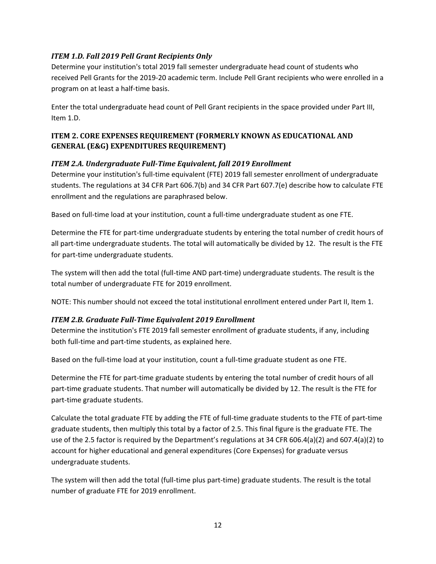#### *ITEM 1.D. Fall 2019 Pell Grant Recipients Only*

Determine your institution's total 2019 fall semester undergraduate head count of students who received Pell Grants for the 2019-20 academic term. Include Pell Grant recipients who were enrolled in a program on at least a half-time basis.

Enter the total undergraduate head count of Pell Grant recipients in the space provided under Part III, Item 1.D.

### <span id="page-13-0"></span>**ITEM 2. CORE EXPENSES REQUIREMENT (FORMERLY KNOWN AS EDUCATIONAL AND GENERAL (E&G) EXPENDITURES REQUIREMENT)**

#### *ITEM 2.A. Undergraduate Full-Time Equivalent, fall 2019 Enrollment*

Determine your institution's full-time equivalent (FTE) 2019 fall semester enrollment of undergraduate students. The regulations at 34 CFR Part 606.7(b) and 34 CFR Part 607.7(e) describe how to calculate FTE enrollment and the regulations are paraphrased below.

Based on full-time load at your institution, count a full-time undergraduate student as one FTE.

Determine the FTE for part-time undergraduate students by entering the total number of credit hours of all part-time undergraduate students. The total will automatically be divided by 12. The result is the FTE for part-time undergraduate students.

The system will then add the total (full-time AND part-time) undergraduate students. The result is the total number of undergraduate FTE for 2019 enrollment.

NOTE: This number should not exceed the total institutional enrollment entered under Part II, Item 1.

#### *ITEM 2.B. Graduate Full-Time Equivalent 2019 Enrollment*

Determine the institution's FTE 2019 fall semester enrollment of graduate students, if any, including both full-time and part-time students, as explained here.

Based on the full-time load at your institution, count a full-time graduate student as one FTE.

Determine the FTE for part-time graduate students by entering the total number of credit hours of all part-time graduate students. That number will automatically be divided by 12. The result is the FTE for part-time graduate students.

Calculate the total graduate FTE by adding the FTE of full-time graduate students to the FTE of part-time graduate students, then multiply this total by a factor of 2.5. This final figure is the graduate FTE. The use of the 2.5 factor is required by the Department's regulations at 34 CFR 606.4(a)(2) and 607.4(a)(2) to account for higher educational and general expenditures (Core Expenses) for graduate versus undergraduate students.

The system will then add the total (full-time plus part-time) graduate students. The result is the total number of graduate FTE for 2019 enrollment.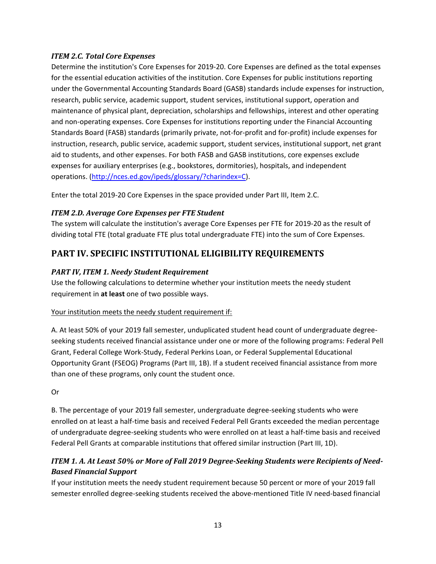#### *ITEM 2.C. Total Core Expenses*

Determine the institution's Core Expenses for 2019-20. Core Expenses are defined as the total expenses for the essential education activities of the institution. Core Expenses for public institutions reporting under the Governmental Accounting Standards Board (GASB) standards include expenses for instruction, research, public service, academic support, student services, institutional support, operation and maintenance of physical plant, depreciation, scholarships and fellowships, interest and other operating and non-operating expenses. Core Expenses for institutions reporting under the Financial Accounting Standards Board (FASB) standards (primarily private, not-for-profit and for-profit) include expenses for instruction, research, public service, academic support, student services, institutional support, net grant aid to students, and other expenses. For both FASB and GASB institutions, core expenses exclude expenses for auxiliary enterprises (e.g., bookstores, dormitories), hospitals, and independent operations. [\(http://nces.ed.gov/ipeds/glossary/?charindex=C\)](http://nces.ed.gov/ipeds/glossary/?charindex=C).

Enter the total 2019-20 Core Expenses in the space provided under Part III, Item 2.C.

#### *ITEM 2.D. Average Core Expenses per FTE Student*

The system will calculate the institution's average Core Expenses per FTE for 2019-20 as the result of dividing total FTE (total graduate FTE plus total undergraduate FTE) into the sum of Core Expenses.

# <span id="page-14-0"></span>**PART IV. SPECIFIC INSTITUTIONAL ELIGIBILITY REQUIREMENTS**

#### *PART IV, ITEM 1. Needy Student Requirement*

Use the following calculations to determine whether your institution meets the needy student requirement in **at least** one of two possible ways.

#### Your institution meets the needy student requirement if:

A. At least 50% of your 2019 fall semester, unduplicated student head count of undergraduate degreeseeking students received financial assistance under one or more of the following programs: Federal Pell Grant, Federal College Work-Study, Federal Perkins Loan, or Federal Supplemental Educational Opportunity Grant (FSEOG) Programs (Part III, 1B). If a student received financial assistance from more than one of these programs, only count the student once.

Or

B. The percentage of your 2019 fall semester, undergraduate degree-seeking students who were enrolled on at least a half-time basis and received Federal Pell Grants exceeded the median percentage of undergraduate degree-seeking students who were enrolled on at least a half-time basis and received Federal Pell Grants at comparable institutions that offered similar instruction (Part III, 1D).

### *ITEM 1. A. At Least 50% or More of Fall 2019 Degree-Seeking Students were Recipients of Need-Based Financial Support*

If your institution meets the needy student requirement because 50 percent or more of your 2019 fall semester enrolled degree-seeking students received the above-mentioned Title IV need-based financial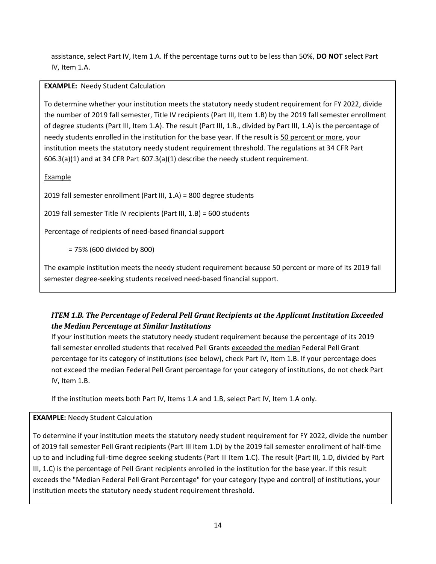assistance, select Part IV, Item 1.A. If the percentage turns out to be less than 50%, **DO NOT** select Part IV, Item 1.A.

**EXAMPLE:** Needy Student Calculation

To determine whether your institution meets the statutory needy student requirement for FY 2022, divide the number of 2019 fall semester, Title IV recipients (Part III, Item 1.B) by the 2019 fall semester enrollment of degree students (Part III, Item 1.A). The result (Part III, 1.B., divided by Part III, 1.A) is the percentage of needy students enrolled in the institution for the base year. If the result is 50 percent or more, your institution meets the statutory needy student requirement threshold. The regulations at 34 CFR Part 606.3(a)(1) and at 34 CFR Part 607.3(a)(1) describe the needy student requirement.

Example

2019 fall semester enrollment (Part III, 1.A) = 800 degree students

2019 fall semester Title IV recipients (Part III, 1.B) = 600 students

Percentage of recipients of need-based financial support

= 75% (600 divided by 800)

The example institution meets the needy student requirement because 50 percent or more of its 2019 fall semester degree-seeking students received need-based financial support*.*

## *ITEM 1.B. The Percentage of Federal Pell Grant Recipients at the Applicant Institution Exceeded the Median Percentage at Similar Institutions*

If your institution meets the statutory needy student requirement because the percentage of its 2019 fall semester enrolled students that received Pell Grants exceeded the median Federal Pell Grant percentage for its category of institutions (see below), check Part IV, Item 1.B. If your percentage does not exceed the median Federal Pell Grant percentage for your category of institutions, do not check Part IV, Item 1.B.

If the institution meets both Part IV, Items 1.A and 1.B, select Part IV, Item 1.A only.

#### **EXAMPLE:** Needy Student Calculation

To determine if your institution meets the statutory needy student requirement for FY 2022, divide the number of 2019 fall semester Pell Grant recipients (Part III Item 1.D) by the 2019 fall semester enrollment of half-time up to and including full-time degree seeking students (Part III Item 1.C). The result (Part III, 1.D, divided by Part III, 1.C) is the percentage of Pell Grant recipients enrolled in the institution for the base year. If this result exceeds the "Median Federal Pell Grant Percentage" for your category (type and control) of institutions, your institution meets the statutory needy student requirement threshold.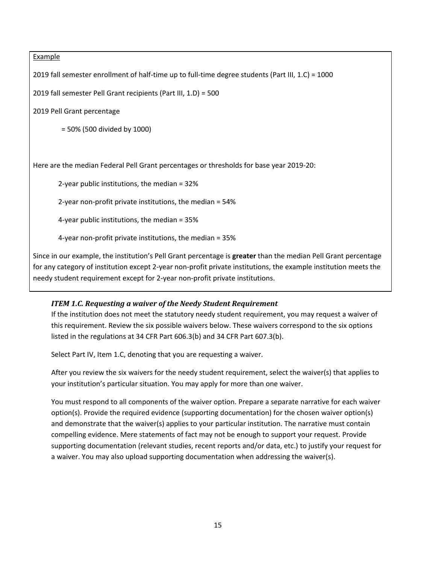#### **Example**

2019 fall semester enrollment of half-time up to full-time degree students (Part III, 1.C) = 1000

2019 fall semester Pell Grant recipients (Part III, 1.D) = 500

2019 Pell Grant percentage

= 50% (500 divided by 1000)

Here are the median Federal Pell Grant percentages or thresholds for base year 2019-20:

2-year public institutions, the median = 32%

2-year non-profit private institutions, the median = 54%

4-year public institutions, the median = 35%

4-year non-profit private institutions, the median = 35%

Since in our example, the institution's Pell Grant percentage is **greater** than the median Pell Grant percentage for any category of institution except 2-year non-profit private institutions, the example institution meets the needy student requirement except for 2-year non-profit private institutions.

#### *ITEM 1.C. Requesting a waiver of the Needy Student Requirement*

If the institution does not meet the statutory needy student requirement, you may request a waiver of this requirement. Review the six possible waivers below. These waivers correspond to the six options listed in the regulations at 34 CFR Part 606.3(b) and 34 CFR Part 607.3(b).

Select Part IV, Item 1.C, denoting that you are requesting a waiver.

After you review the six waivers for the needy student requirement, select the waiver(s) that applies to your institution's particular situation. You may apply for more than one waiver.

You must respond to all components of the waiver option. Prepare a separate narrative for each waiver option(s). Provide the required evidence (supporting documentation) for the chosen waiver option(s) and demonstrate that the waiver(s) applies to your particular institution. The narrative must contain compelling evidence. Mere statements of fact may not be enough to support your request. Provide supporting documentation (relevant studies, recent reports and/or data, etc.) to justify your request for a waiver. You may also upload supporting documentation when addressing the waiver(s).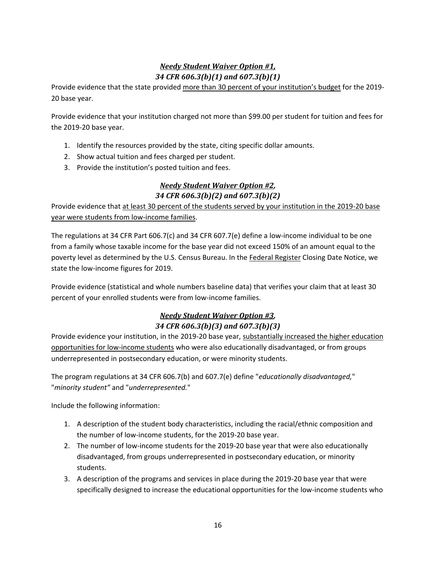# *Needy Student Waiver Option #1, 34 CFR 606.3(b)(1) and 607.3(b)(1)*

Provide evidence that the state provided more than 30 percent of your institution's budget for the 2019- 20 base year.

Provide evidence that your institution charged not more than \$99.00 per student for tuition and fees for the 2019-20 base year.

- 1. Identify the resources provided by the state, citing specific dollar amounts.
- 2. Show actual tuition and fees charged per student.
- 3. Provide the institution's posted tuition and fees.

### *Needy Student Waiver Option #2, 34 CFR 606.3(b)(2) and 607.3(b)(2)*

Provide evidence that at least 30 percent of the students served by your institution in the 2019-20 base year were students from low-income families.

The regulations at 34 CFR Part 606.7(c) and 34 CFR 607.7(e) define a low-income individual to be one from a family whose taxable income for the base year did not exceed 150% of an amount equal to the poverty level as determined by the U.S. Census Bureau. In the Federal Register Closing Date Notice, we state the low-income figures for 2019.

Provide evidence (statistical and whole numbers baseline data) that verifies your claim that at least 30 percent of your enrolled students were from low-income families.

### *Needy Student Waiver Option #3, 34 CFR 606.3(b)(3) and 607.3(b)(3)*

Provide evidence your institution, in the 2019-20 base year, substantially increased the higher education opportunities for low-income students who were also educationally disadvantaged, or from groups underrepresented in postsecondary education, or were minority students.

The program regulations at 34 CFR 606.7(b) and 607.7(e) define "*educationally disadvantaged,*" "*minority student"* and "*underrepresented.*"

Include the following information:

- 1. A description of the student body characteristics, including the racial/ethnic composition and the number of low-income students, for the 2019-20 base year.
- 2. The number of low-income students for the 2019-20 base year that were also educationally disadvantaged, from groups underrepresented in postsecondary education, or minority students.
- 3. A description of the programs and services in place during the 2019-20 base year that were specifically designed to increase the educational opportunities for the low-income students who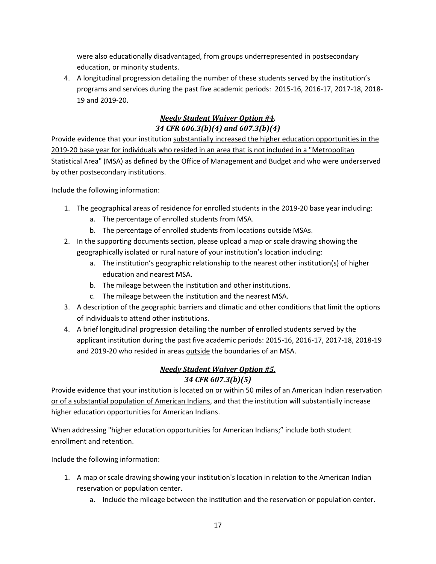were also educationally disadvantaged, from groups underrepresented in postsecondary education, or minority students.

4. A longitudinal progression detailing the number of these students served by the institution's programs and services during the past five academic periods: 2015-16, 2016-17, 2017-18, 2018- 19 and 2019-20.

# *Needy Student Waiver Option #4,*

# *34 CFR 606.3(b)(4) and 607.3(b)(4)*

Provide evidence that your institution substantially increased the higher education opportunities in the 2019-20 base year for individuals who resided in an area that is not included in a "Metropolitan Statistical Area" (MSA) as defined by the Office of Management and Budget and who were underserved by other postsecondary institutions.

Include the following information:

- 1. The geographical areas of residence for enrolled students in the 2019-20 base year including:
	- a. The percentage of enrolled students from MSA.
	- b. The percentage of enrolled students from locations outside MSAs.
- 2. In the supporting documents section, please upload a map or scale drawing showing the geographically isolated or rural nature of your institution's location including:
	- a. The institution's geographic relationship to the nearest other institution(s) of higher education and nearest MSA.
	- b. The mileage between the institution and other institutions.
	- c. The mileage between the institution and the nearest MSA.
- 3. A description of the geographic barriers and climatic and other conditions that limit the options of individuals to attend other institutions.
- 4. A brief longitudinal progression detailing the number of enrolled students served by the applicant institution during the past five academic periods: 2015-16, 2016-17, 2017-18, 2018-19 and 2019-20 who resided in areas outside the boundaries of an MSA.

## *Needy Student Waiver Option #5, 34 CFR 607.3(b)(5)*

Provide evidence that your institution is located on or within 50 miles of an American Indian reservation or of a substantial population of American Indians, and that the institution will substantially increase higher education opportunities for American Indians.

When addressing "higher education opportunities for American Indians;" include both student enrollment and retention.

Include the following information:

- 1. A map or scale drawing showing your institution's location in relation to the American Indian reservation or population center.
	- a. Include the mileage between the institution and the reservation or population center.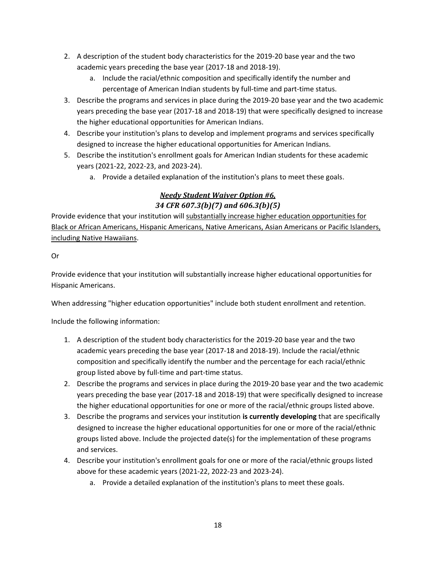- 2. A description of the student body characteristics for the 2019-20 base year and the two academic years preceding the base year (2017-18 and 2018-19).
	- a. Include the racial/ethnic composition and specifically identify the number and percentage of American Indian students by full-time and part-time status.
- 3. Describe the programs and services in place during the 2019-20 base year and the two academic years preceding the base year (2017-18 and 2018-19) that were specifically designed to increase the higher educational opportunities for American Indians.
- 4. Describe your institution's plans to develop and implement programs and services specifically designed to increase the higher educational opportunities for American Indians.
- 5. Describe the institution's enrollment goals for American Indian students for these academic years (2021-22, 2022-23, and 2023-24).
	- a. Provide a detailed explanation of the institution's plans to meet these goals.

# *Needy Student Waiver Option #6, 34 CFR 607.3(b)(7) and 606.3(b)(5)*

Provide evidence that your institution will substantially increase higher education opportunities for Black or African Americans, Hispanic Americans, Native Americans, Asian Americans or Pacific Islanders, including Native Hawaiians.

Or

Provide evidence that your institution will substantially increase higher educational opportunities for Hispanic Americans.

When addressing "higher education opportunities" include both student enrollment and retention.

Include the following information:

- 1. A description of the student body characteristics for the 2019-20 base year and the two academic years preceding the base year (2017-18 and 2018-19). Include the racial/ethnic composition and specifically identify the number and the percentage for each racial/ethnic group listed above by full-time and part-time status.
- 2. Describe the programs and services in place during the 2019-20 base year and the two academic years preceding the base year (2017-18 and 2018-19) that were specifically designed to increase the higher educational opportunities for one or more of the racial/ethnic groups listed above.
- 3. Describe the programs and services your institution **is currently developing** that are specifically designed to increase the higher educational opportunities for one or more of the racial/ethnic groups listed above. Include the projected date(s) for the implementation of these programs and services.
- 4. Describe your institution's enrollment goals for one or more of the racial/ethnic groups listed above for these academic years (2021-22, 2022-23 and 2023-24).
	- a. Provide a detailed explanation of the institution's plans to meet these goals.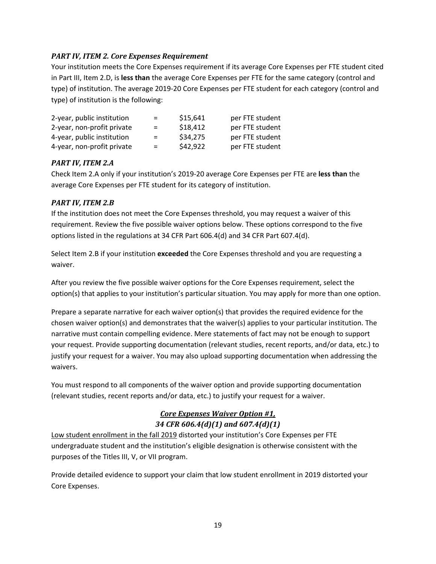#### *PART IV, ITEM 2. Core Expenses Requirement*

Your institution meets the Core Expenses requirement if its average Core Expenses per FTE student cited in Part III, Item 2.D, is **less than** the average Core Expenses per FTE for the same category (control and type) of institution. The average 2019-20 Core Expenses per FTE student for each category (control and type) of institution is the following:

| 2-year, public institution | $=$ | \$15,641 | per FTE student |
|----------------------------|-----|----------|-----------------|
| 2-year, non-profit private | $=$ | \$18,412 | per FTE student |
| 4-year, public institution | $=$ | \$34,275 | per FTE student |
| 4-year, non-profit private | $=$ | \$42,922 | per FTE student |

#### *PART IV, ITEM 2.A*

Check Item 2.A only if your institution's 2019-20 average Core Expenses per FTE are **less than** the average Core Expenses per FTE student for its category of institution.

#### *PART IV, ITEM 2.B*

If the institution does not meet the Core Expenses threshold, you may request a waiver of this requirement. Review the five possible waiver options below. These options correspond to the five options listed in the regulations at 34 CFR Part 606.4(d) and 34 CFR Part 607.4(d).

Select Item 2.B if your institution **exceeded** the Core Expenses threshold and you are requesting a waiver.

After you review the five possible waiver options for the Core Expenses requirement, select the option(s) that applies to your institution's particular situation. You may apply for more than one option.

Prepare a separate narrative for each waiver option(s) that provides the required evidence for the chosen waiver option(s) and demonstrates that the waiver(s) applies to your particular institution. The narrative must contain compelling evidence. Mere statements of fact may not be enough to support your request. Provide supporting documentation (relevant studies, recent reports, and/or data, etc.) to justify your request for a waiver. You may also upload supporting documentation when addressing the waivers.

You must respond to all components of the waiver option and provide supporting documentation (relevant studies, recent reports and/or data, etc.) to justify your request for a waiver.

### *Core Expenses Waiver Option #1, 34 CFR 606.4(d)(1) and 607.4(d)(1)*

Low student enrollment in the fall 2019 distorted your institution's Core Expenses per FTE undergraduate student and the institution's eligible designation is otherwise consistent with the purposes of the Titles III, V, or VII program.

Provide detailed evidence to support your claim that low student enrollment in 2019 distorted your Core Expenses.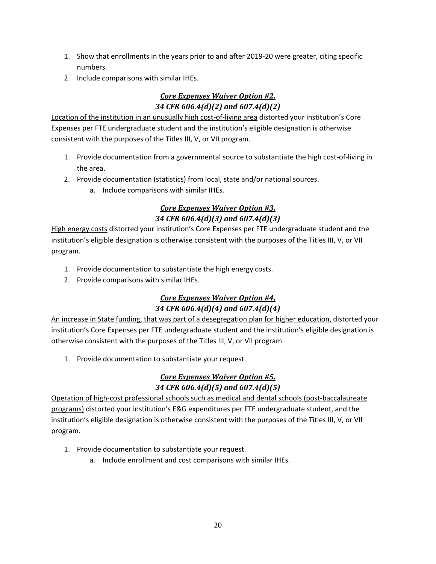- 1. Show that enrollments in the years prior to and after 2019-20 were greater, citing specific numbers.
- 2. Include comparisons with similar IHEs.

### *Core Expenses Waiver Option #2, 34 CFR 606.4(d)(2) and 607.4(d)(2)*

Location of the institution in an unusually high cost-of-living area distorted your institution's Core Expenses per FTE undergraduate student and the institution's eligible designation is otherwise consistent with the purposes of the Titles III, V, or VII program.

- 1. Provide documentation from a governmental source to substantiate the high cost-of-living in the area.
- 2. Provide documentation (statistics) from local, state and/or national sources.
	- a. Include comparisons with similar IHEs.

### *Core Expenses Waiver Option #3, 34 CFR 606.4(d)(3) and 607.4(d)(3)*

High energy costs distorted your institution's Core Expenses per FTE undergraduate student and the institution's eligible designation is otherwise consistent with the purposes of the Titles III, V, or VII program.

- 1. Provide documentation to substantiate the high energy costs.
- 2. Provide comparisons with similar IHEs.

## *Core Expenses Waiver Option #4, 34 CFR 606.4(d)(4) and 607.4(d)(4)*

An increase in State funding, that was part of a desegregation plan for higher education, distorted your institution's Core Expenses per FTE undergraduate student and the institution's eligible designation is otherwise consistent with the purposes of the Titles III, V, or VII program.

1. Provide documentation to substantiate your request.

### *Core Expenses Waiver Option #5, 34 CFR 606.4(d)(5) and 607.4(d)(5)*

Operation of high-cost professional schools such as medical and dental schools (post-baccalaureate programs) distorted your institution's E&G expenditures per FTE undergraduate student, and the institution's eligible designation is otherwise consistent with the purposes of the Titles III, V, or VII program.

- 1. Provide documentation to substantiate your request.
	- a. Include enrollment and cost comparisons with similar IHEs.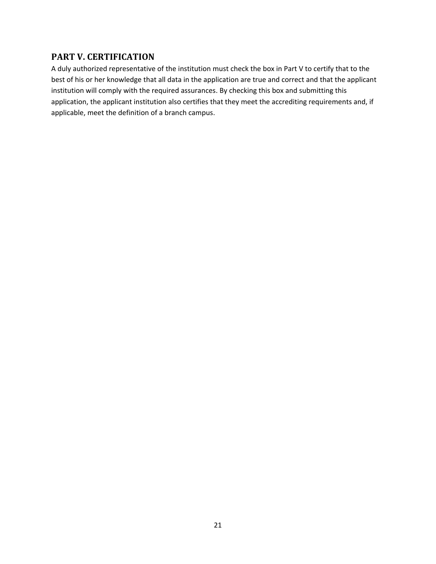### <span id="page-22-0"></span>**PART V. CERTIFICATION**

A duly authorized representative of the institution must check the box in Part V to certify that to the best of his or her knowledge that all data in the application are true and correct and that the applicant institution will comply with the required assurances. By checking this box and submitting this application, the applicant institution also certifies that they meet the accrediting requirements and, if applicable, meet the definition of a branch campus.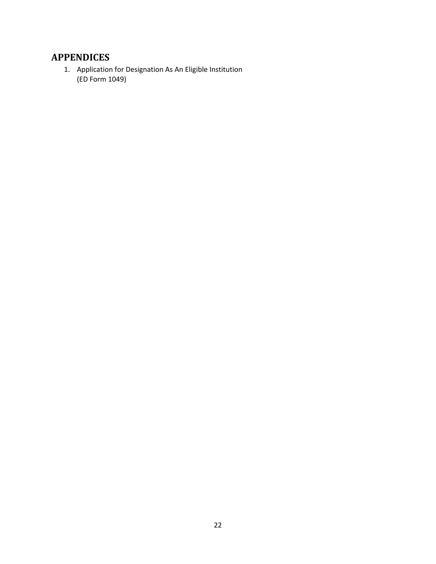# <span id="page-23-0"></span>**APPENDICES**

1. Application for Designation As An Eligible Institution (ED Form 1049)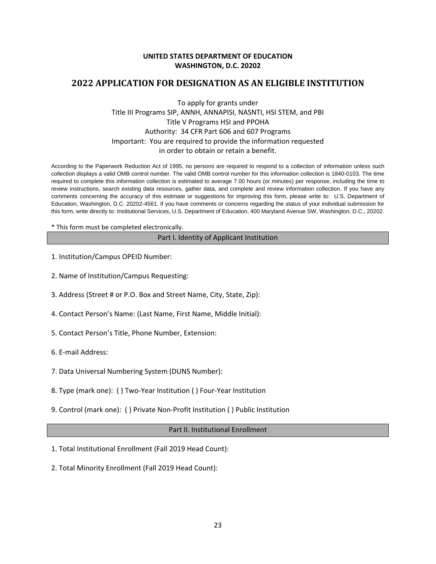#### **UNITED STATES DEPARTMENT OF EDUCATION WASHINGTON, D.C. 20202**

### <span id="page-24-0"></span>**2022 APPLICATION FOR DESIGNATION AS AN ELIGIBLE INSTITUTION**

#### To apply for grants under Title III Programs SIP, ANNH, ANNAPISI, NASNTI, HSI STEM, and PBI Title V Programs HSI and PPOHA Authority: 34 CFR Part 606 and 607 Programs Important: You are required to provide the information requested in order to obtain or retain a benefit.

According to the Paperwork Reduction Act of 1995, no persons are required to respond to a collection of information unless such collection displays a valid OMB control number. The valid OMB control number for this information collection is 1840-0103. The time required to complete this information collection is estimated to average 7.00 hours (or minutes) per response, including the time to review instructions, search existing data resources, gather data, and complete and review information collection. If you have any comments concerning the accuracy of this estimate or suggestions for improving this form, please write to: U.S. Department of Education, Washington, D.C. 20202-4561. If you have comments or concerns regarding the status of your individual submission for this form, write directly to: Institutional Services, U.S. Department of Education, 400 Maryland Avenue SW, Washington, D.C., 20202.

#### \* This form must be completed electronically.

#### Part I. Identity of Applicant Institution

- 1. Institution/Campus OPEID Number:
- 2. Name of Institution/Campus Requesting:
- 3. Address (Street # or P.O. Box and Street Name, City, State, Zip):
- 4. Contact Person's Name: (Last Name, First Name, Middle Initial):
- 5. Contact Person's Title, Phone Number, Extension:
- 6. E-mail Address:
- 7. Data Universal Numbering System (DUNS Number):
- 8. Type (mark one): ( ) Two-Year Institution ( ) Four-Year Institution
- 9. Control (mark one): ( ) Private Non-Profit Institution ( ) Public Institution

#### Part II. Institutional Enrollment

- 1. Total Institutional Enrollment (Fall 2019 Head Count):
- 2. Total Minority Enrollment (Fall 2019 Head Count):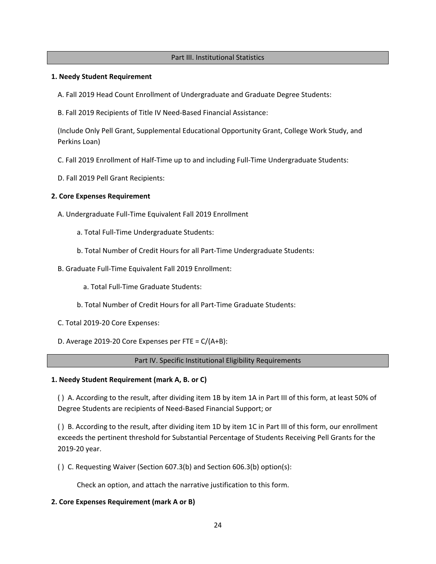#### Part III. Institutional Statistics

#### **1. Needy Student Requirement**

- A. Fall 2019 Head Count Enrollment of Undergraduate and Graduate Degree Students:
- B. Fall 2019 Recipients of Title IV Need-Based Financial Assistance:

(Include Only Pell Grant, Supplemental Educational Opportunity Grant, College Work Study, and Perkins Loan)

- C. Fall 2019 Enrollment of Half-Time up to and including Full-Time Undergraduate Students:
- D. Fall 2019 Pell Grant Recipients:

#### **2. Core Expenses Requirement**

- A. Undergraduate Full-Time Equivalent Fall 2019 Enrollment
	- a. Total Full-Time Undergraduate Students:
	- b. Total Number of Credit Hours for all Part-Time Undergraduate Students:
- B. Graduate Full-Time Equivalent Fall 2019 Enrollment:
	- a. Total Full-Time Graduate Students:
	- b. Total Number of Credit Hours for all Part-Time Graduate Students:
- C. Total 2019-20 Core Expenses:
- D. Average 2019-20 Core Expenses per FTE = C/(A+B):

#### Part IV. Specific Institutional Eligibility Requirements

#### **1. Needy Student Requirement (mark A, B. or C)**

( ) A. According to the result, after dividing item 1B by item 1A in Part III of this form, at least 50% of Degree Students are recipients of Need-Based Financial Support; or

( ) B. According to the result, after dividing item 1D by item 1C in Part III of this form, our enrollment exceeds the pertinent threshold for Substantial Percentage of Students Receiving Pell Grants for the 2019-20 year.

( ) C. Requesting Waiver (Section 607.3(b) and Section 606.3(b) option(s):

Check an option, and attach the narrative justification to this form.

#### **2. Core Expenses Requirement (mark A or B)**